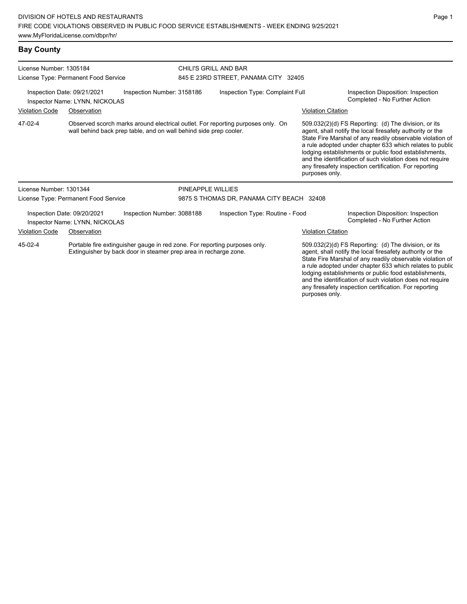| License Number: 1305184                                                                                                                                   |                                                               |                                                                   | CHILI'S GRILL AND BAR                     |                                                                                 |                                                                                                                                                                                                                                                                                                                                                                  |                           |                                                                                                                                                                                                                                                                                                                                                                                                                            |  |
|-----------------------------------------------------------------------------------------------------------------------------------------------------------|---------------------------------------------------------------|-------------------------------------------------------------------|-------------------------------------------|---------------------------------------------------------------------------------|------------------------------------------------------------------------------------------------------------------------------------------------------------------------------------------------------------------------------------------------------------------------------------------------------------------------------------------------------------------|---------------------------|----------------------------------------------------------------------------------------------------------------------------------------------------------------------------------------------------------------------------------------------------------------------------------------------------------------------------------------------------------------------------------------------------------------------------|--|
|                                                                                                                                                           | License Type: Permanent Food Service                          |                                                                   | 845 E 23RD STREET, PANAMA CITY 32405      |                                                                                 |                                                                                                                                                                                                                                                                                                                                                                  |                           |                                                                                                                                                                                                                                                                                                                                                                                                                            |  |
| Inspection Date: 09/21/2021<br>Inspection Number: 3158186<br>Inspector Name: LYNN, NICKOLAS                                                               |                                                               |                                                                   |                                           | Inspection Type: Complaint Full                                                 |                                                                                                                                                                                                                                                                                                                                                                  |                           | Inspection Disposition: Inspection<br>Completed - No Further Action                                                                                                                                                                                                                                                                                                                                                        |  |
| <b>Violation Code</b>                                                                                                                                     | Observation                                                   |                                                                   |                                           |                                                                                 |                                                                                                                                                                                                                                                                                                                                                                  | <b>Violation Citation</b> |                                                                                                                                                                                                                                                                                                                                                                                                                            |  |
| 47-02-4                                                                                                                                                   |                                                               | wall behind back prep table, and on wall behind side prep cooler. |                                           | Observed scorch marks around electrical outlet. For reporting purposes only. On |                                                                                                                                                                                                                                                                                                                                                                  | purposes only.            | 509.032(2)(d) FS Reporting: (d) The division, or its<br>agent, shall notify the local firesafety authority or the<br>State Fire Marshal of any readily observable violation of<br>a rule adopted under chapter 633 which relates to public<br>lodging establishments or public food establishments,<br>and the identification of such violation does not require<br>any firesafety inspection certification. For reporting |  |
| License Number: 1301344                                                                                                                                   |                                                               |                                                                   | PINEAPPLE WILLIES                         |                                                                                 |                                                                                                                                                                                                                                                                                                                                                                  |                           |                                                                                                                                                                                                                                                                                                                                                                                                                            |  |
|                                                                                                                                                           | License Type: Permanent Food Service                          |                                                                   | 9875 S THOMAS DR, PANAMA CITY BEACH 32408 |                                                                                 |                                                                                                                                                                                                                                                                                                                                                                  |                           |                                                                                                                                                                                                                                                                                                                                                                                                                            |  |
|                                                                                                                                                           | Inspection Date: 09/20/2021<br>Inspector Name: LYNN, NICKOLAS | Inspection Number: 3088188                                        |                                           | Inspection Type: Routine - Food                                                 |                                                                                                                                                                                                                                                                                                                                                                  |                           | Inspection Disposition: Inspection<br>Completed - No Further Action                                                                                                                                                                                                                                                                                                                                                        |  |
| <b>Violation Code</b><br>Observation                                                                                                                      |                                                               |                                                                   |                                           |                                                                                 |                                                                                                                                                                                                                                                                                                                                                                  | <b>Violation Citation</b> |                                                                                                                                                                                                                                                                                                                                                                                                                            |  |
| 45-02-4<br>Portable fire extinguisher gauge in red zone. For reporting purposes only.<br>Extinguisher by back door in steamer prep area in recharge zone. |                                                               |                                                                   |                                           |                                                                                 | 509.032(2)(d) FS Reporting: (d) The division, or its<br>agent, shall notify the local firesafety authority or the<br>State Fire Marshal of any readily observable violation of<br>a rule adopted under chapter 633 which relates to public<br>lodging establishments or public food establishments,<br>and the identification of such violation does not require |                           |                                                                                                                                                                                                                                                                                                                                                                                                                            |  |

any firesafety inspection certification. For reporting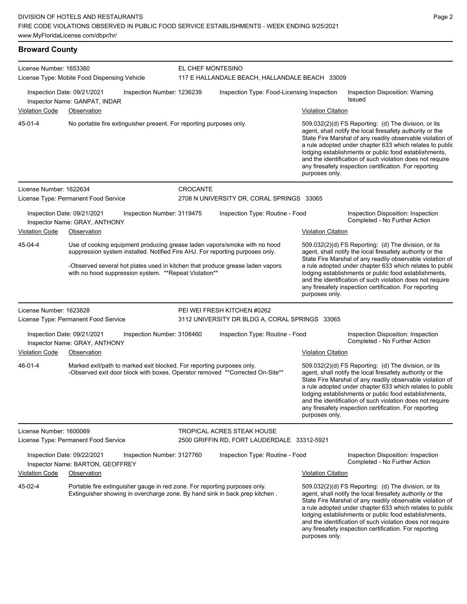## **Broward County** License Number: 1653360 License Type: Mobile Food Dispensing Vehicle EL CHEF MONTESINO 117 E HALLANDALE BEACH, HALLANDALE BEACH 33009 Inspection Date: 09/21/2021 Inspection Number: 1236239 Inspection Type: Food-Licensing Inspection Inspection Disposition: Warning Issued Inspector Name: GANPAT, INDAR Violation Code Observation **Violation Code Observation** Violation Citation Citation Citation Citation Citation Citation Citation Citation Citation Citation Citation Citation Citation Citation Citation Citation Citation Cit No portable fire extinguisher present. For reporting purposes only. 509.032(2)(d) FS Reporting: (d) The division, or its agent, shall notify the local firesafety authority or the State Fire Marshal of any readily observable violation of a rule adopted under chapter 633 which relates to public lodging establishments or public food establishments, and the identification of such violation does not require any firesafety inspection certification. For reporting purposes only. 45-01-4 License Number: 1622634 License Type: Permanent Food Service **CROCANTE** 2708 N UNIVERSITY DR, CORAL SPRINGS 33065 Inspection Date: 09/21/2021 Inspection Number: 3119475 Inspection Type: Routine - Food Inspection Disposition: Inspection Inspector Name: GRAY, ANTHONY **Completed - No Further Action** Violation Code Observation Violation Citation Use of cooking equipment producing grease laden vapors/smoke with no hood suppression system installed. Notified Fire AHJ. For reporting purposes only. -Observed several hot plates used in kitchen that produce grease laden vapors with no hood suppression system. \*\*Repeat Violation\*\* 509.032(2)(d) FS Reporting: (d) The division, or its agent, shall notify the local firesafety authority or the State Fire Marshal of any readily observable violation of a rule adopted under chapter 633 which relates to public lodging establishments or public food establishments, and the identification of such violation does not require any firesafety inspection certification. For reporting purposes only. 45-04-4 License Number: 1623828 License Type: Permanent Food Service PEI WEI FRESH KITCHEN #0262 3112 UNIVERSITY DR BLDG A, CORAL SPRINGS 33065 Inspection Date: 09/21/2021 Inspection Number: 3108460 Inspection Type: Routine - Food Inspection Disposition: Inspection Inspector Name: GRAY, ANTHONY Violation Code Observation Violation Citation Marked exit/path to marked exit blocked. For reporting purposes only. -Observed exit door block with boxes. Operator removed \*\*Corrected On-Site\*\* 509.032(2)(d) FS Reporting: (d) The division, or its agent, shall notify the local firesafety authority or the State Fire Marshal of any readily observable violation of a rule adopted under chapter 633 which relates to public lodging establishments or public food establishments, and the identification of such violation does not require any firesafety inspection certification. For reporting purposes only. 46-01-4 License Number: 1600069 License Type: Permanent Food Service TROPICAL ACRES STEAK HOUSE 2500 GRIFFIN RD, FORT LAUDERDALE 33312-5921 Inspection Date: 09/22/2021 Inspection Number: 3127760 Inspection Type: Routine - Food Inspection Disposition: Inspection Inspector Name: BARTON, GEOFFREY **Completed - No Further Action** Violation Code Observation Violation Citation Portable fire extinguisher gauge in red zone. For reporting purposes only. Extinguisher showing in overcharge zone. By hand sink in back prep kitchen . 509.032(2)(d) FS Reporting: (d) The division, or its agent, shall notify the local firesafety authority or the 45-02-4

State Fire Marshal of any readily observable violation of a rule adopted under chapter 633 which relates to public lodging establishments or public food establishments, and the identification of such violation does not require any firesafety inspection certification. For reporting purposes only.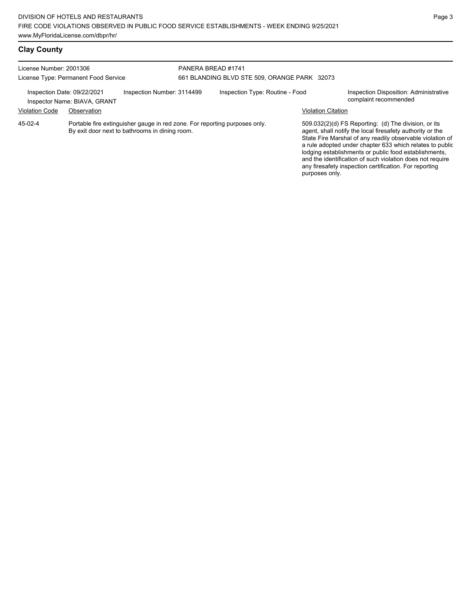## **Clay County**

| License Number: 2001306                              | License Type: Permanent Food Service                                                                                         | PANERA BREAD #1741<br>661 BLANDING BLVD STE 509, ORANGE PARK 32073 |                                 |                           |                                                                                                                                                                                                                                                                                                                                                                                                                            |
|------------------------------------------------------|------------------------------------------------------------------------------------------------------------------------------|--------------------------------------------------------------------|---------------------------------|---------------------------|----------------------------------------------------------------------------------------------------------------------------------------------------------------------------------------------------------------------------------------------------------------------------------------------------------------------------------------------------------------------------------------------------------------------------|
| Inspection Date: 09/22/2021<br><b>Violation Code</b> | Inspection Number: 3114499<br>Inspector Name: BIAVA, GRANT<br>Observation                                                    |                                                                    | Inspection Type: Routine - Food | <b>Violation Citation</b> | Inspection Disposition: Administrative<br>complaint recommended                                                                                                                                                                                                                                                                                                                                                            |
| 45-02-4                                              | Portable fire extinguisher gauge in red zone. For reporting purposes only.<br>By exit door next to bathrooms in dining room. |                                                                    |                                 | purposes only.            | 509.032(2)(d) FS Reporting: (d) The division, or its<br>agent, shall notify the local firesafety authority or the<br>State Fire Marshal of any readily observable violation of<br>a rule adopted under chapter 633 which relates to public<br>lodging establishments or public food establishments,<br>and the identification of such violation does not require<br>any firesafety inspection certification. For reporting |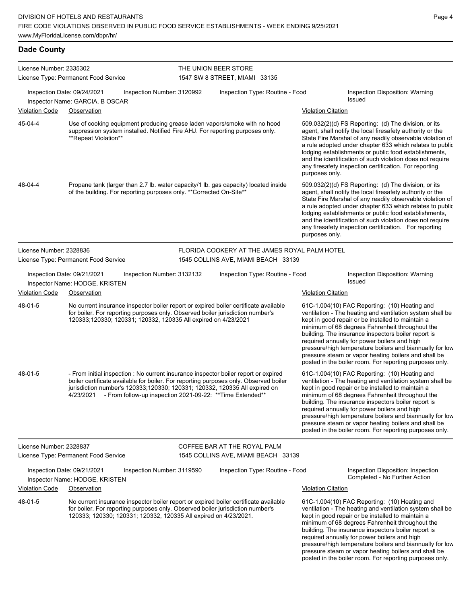## **Dade County**

| License Number: 2335302 |                                                                                                                                                                                                                                                                         |                            | THE UNION BEER STORE                                       |                                                                                                                                                                                                                                                                                                                                                                                                                                                                                                          |
|-------------------------|-------------------------------------------------------------------------------------------------------------------------------------------------------------------------------------------------------------------------------------------------------------------------|----------------------------|------------------------------------------------------------|----------------------------------------------------------------------------------------------------------------------------------------------------------------------------------------------------------------------------------------------------------------------------------------------------------------------------------------------------------------------------------------------------------------------------------------------------------------------------------------------------------|
|                         | License Type: Permanent Food Service                                                                                                                                                                                                                                    |                            | 1547 SW 8 STREET, MIAMI 33135                              |                                                                                                                                                                                                                                                                                                                                                                                                                                                                                                          |
|                         | Inspection Date: 09/24/2021<br>Inspector Name: GARCIA, B OSCAR                                                                                                                                                                                                          | Inspection Number: 3120992 | Inspection Type: Routine - Food                            | Inspection Disposition: Warning<br><b>Issued</b>                                                                                                                                                                                                                                                                                                                                                                                                                                                         |
| <b>Violation Code</b>   | Observation                                                                                                                                                                                                                                                             |                            |                                                            | <b>Violation Citation</b>                                                                                                                                                                                                                                                                                                                                                                                                                                                                                |
| 45-04-4                 | Use of cooking equipment producing grease laden vapors/smoke with no hood<br>suppression system installed. Notified Fire AHJ. For reporting purposes only.<br>**Repeat Violation**                                                                                      |                            |                                                            | 509.032(2)(d) FS Reporting: (d) The division, or its<br>agent, shall notify the local firesafety authority or the<br>State Fire Marshal of any readily observable violation of<br>a rule adopted under chapter 633 which relates to public<br>lodging establishments or public food establishments,<br>and the identification of such violation does not require<br>any firesafety inspection certification. For reporting<br>purposes only.                                                             |
| 48-04-4                 | Propane tank (larger than 2.7 lb. water capacity/1 lb. gas capacity) located inside<br>of the building. For reporting purposes only. ** Corrected On-Site**                                                                                                             |                            |                                                            | 509.032(2)(d) FS Reporting: (d) The division, or its<br>agent, shall notify the local firesafety authority or the<br>State Fire Marshal of any readily observable violation of<br>a rule adopted under chapter 633 which relates to public<br>lodging establishments or public food establishments,<br>and the identification of such violation does not require<br>any firesafety inspection certification. For reporting<br>purposes only.                                                             |
| License Number: 2328836 |                                                                                                                                                                                                                                                                         |                            | FLORIDA COOKERY AT THE JAMES ROYAL PALM HOTEL              |                                                                                                                                                                                                                                                                                                                                                                                                                                                                                                          |
|                         | License Type: Permanent Food Service                                                                                                                                                                                                                                    |                            | 1545 COLLINS AVE, MIAMI BEACH 33139                        |                                                                                                                                                                                                                                                                                                                                                                                                                                                                                                          |
|                         | Inspection Date: 09/21/2021<br>Inspector Name: HODGE, KRISTEN                                                                                                                                                                                                           | Inspection Number: 3132132 | Inspection Type: Routine - Food                            | Inspection Disposition: Warning<br><b>Issued</b>                                                                                                                                                                                                                                                                                                                                                                                                                                                         |
| Violation Code          | Observation                                                                                                                                                                                                                                                             |                            |                                                            | <b>Violation Citation</b>                                                                                                                                                                                                                                                                                                                                                                                                                                                                                |
| 48-01-5                 | No current insurance inspector boiler report or expired boiler certificate available<br>for boiler. For reporting purposes only. Observed boiler jurisdiction number's<br>120333;120330; 120331; 120332, 120335 All expired on 4/23/2021                                |                            |                                                            | 61C-1.004(10) FAC Reporting: (10) Heating and<br>ventilation - The heating and ventilation system shall be<br>kept in good repair or be installed to maintain a<br>minimum of 68 degrees Fahrenheit throughout the<br>building. The insurance inspectors boiler report is<br>required annually for power boilers and high<br>pressure/high temperature boilers and biannually for low<br>pressure steam or vapor heating boilers and shall be<br>posted in the boiler room. For reporting purposes only. |
| 48-01-5                 | - From initial inspection : No current insurance inspector boiler report or expired<br>boiler certificate available for boiler. For reporting purposes only. Observed boiler<br>jurisdiction number's 120333;120330; 120331; 120332, 120335 All expired on<br>4/23/2021 |                            | - From follow-up inspection 2021-09-22: ** Time Extended** | 61C-1.004(10) FAC Reporting: (10) Heating and<br>ventilation - The heating and ventilation system shall be<br>kept in good repair or be installed to maintain a<br>minimum of 68 degrees Fahrenheit throughout the<br>building. The insurance inspectors boiler report is<br>required annually for power boilers and high<br>pressure/high temperature boilers and biannually for low<br>pressure steam or vapor heating boilers and shall be<br>posted in the boiler room. For reporting purposes only. |
| License Number: 2328837 |                                                                                                                                                                                                                                                                         |                            | COFFEE BAR AT THE ROYAL PALM                               |                                                                                                                                                                                                                                                                                                                                                                                                                                                                                                          |
|                         | License Type: Permanent Food Service                                                                                                                                                                                                                                    |                            | 1545 COLLINS AVE, MIAMI BEACH 33139                        |                                                                                                                                                                                                                                                                                                                                                                                                                                                                                                          |
|                         | Inspection Date: 09/21/2021<br>Inspector Name: HODGE, KRISTEN                                                                                                                                                                                                           | Inspection Number: 3119590 | Inspection Type: Routine - Food                            | Inspection Disposition: Inspection<br>Completed - No Further Action                                                                                                                                                                                                                                                                                                                                                                                                                                      |
| <b>Violation Code</b>   | Observation                                                                                                                                                                                                                                                             |                            |                                                            | <b>Violation Citation</b>                                                                                                                                                                                                                                                                                                                                                                                                                                                                                |
| 48-01-5                 | No current insurance inspector boiler report or expired boiler certificate available<br>for boiler. For reporting purposes only. Observed boiler jurisdiction number's<br>120333; 120330; 120331; 120332, 120335 All expired on 4/23/2021.                              |                            |                                                            | 61C-1.004(10) FAC Reporting: (10) Heating and<br>ventilation - The heating and ventilation system shall be<br>kept in good repair or be installed to maintain a<br>minimum of 68 degrees Fahrenheit throughout the<br>building. The insurance inspectors boiler report is<br>required annually for power boilers and high<br>pressure/high temperature boilers and biannually for low                                                                                                                    |

pressure/high temperature boilers and biannually for low pressure steam or vapor heating boilers and shall be posted in the boiler room. For reporting purposes only.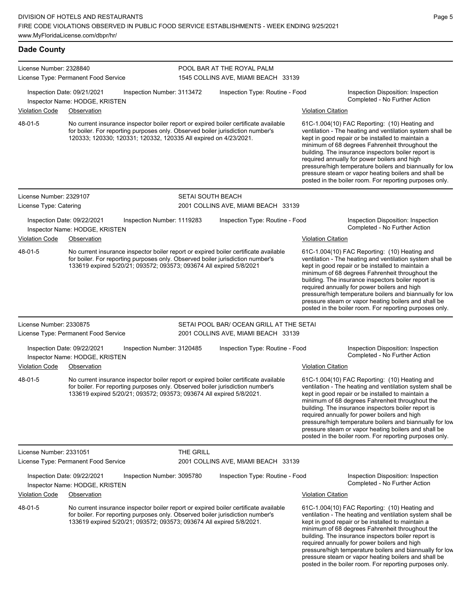**Dade County**

| License Number: 2328840 |                                                               |                                                                      |                          | POOL BAR AT THE ROYAL PALM                                                                                                                                             |                           |                                                                                                                                                                                                                                                                                                                                                                                                                                                                                                          |
|-------------------------|---------------------------------------------------------------|----------------------------------------------------------------------|--------------------------|------------------------------------------------------------------------------------------------------------------------------------------------------------------------|---------------------------|----------------------------------------------------------------------------------------------------------------------------------------------------------------------------------------------------------------------------------------------------------------------------------------------------------------------------------------------------------------------------------------------------------------------------------------------------------------------------------------------------------|
|                         | License Type: Permanent Food Service                          |                                                                      |                          | 1545 COLLINS AVE, MIAMI BEACH 33139                                                                                                                                    |                           |                                                                                                                                                                                                                                                                                                                                                                                                                                                                                                          |
|                         | Inspection Date: 09/21/2021<br>Inspector Name: HODGE, KRISTEN | Inspection Number: 3113472                                           |                          | Inspection Type: Routine - Food                                                                                                                                        |                           | Inspection Disposition: Inspection<br>Completed - No Further Action                                                                                                                                                                                                                                                                                                                                                                                                                                      |
| <b>Violation Code</b>   | Observation                                                   |                                                                      |                          |                                                                                                                                                                        | <b>Violation Citation</b> |                                                                                                                                                                                                                                                                                                                                                                                                                                                                                                          |
| 48-01-5                 |                                                               | 120333; 120330; 120331; 120332, 120335 All expired on 4/23/2021.     |                          | No current insurance inspector boiler report or expired boiler certificate available<br>for boiler. For reporting purposes only. Observed boiler jurisdiction number's |                           | 61C-1.004(10) FAC Reporting: (10) Heating and<br>ventilation - The heating and ventilation system shall be<br>kept in good repair or be installed to maintain a<br>minimum of 68 degrees Fahrenheit throughout the<br>building. The insurance inspectors boiler report is<br>required annually for power boilers and high<br>pressure/high temperature boilers and biannually for low<br>pressure steam or vapor heating boilers and shall be<br>posted in the boiler room. For reporting purposes only. |
| License Number: 2329107 |                                                               |                                                                      | <b>SETAI SOUTH BEACH</b> |                                                                                                                                                                        |                           |                                                                                                                                                                                                                                                                                                                                                                                                                                                                                                          |
| License Type: Catering  |                                                               |                                                                      |                          | 2001 COLLINS AVE, MIAMI BEACH 33139                                                                                                                                    |                           |                                                                                                                                                                                                                                                                                                                                                                                                                                                                                                          |
|                         | Inspection Date: 09/22/2021<br>Inspector Name: HODGE, KRISTEN | Inspection Number: 1119283                                           |                          | Inspection Type: Routine - Food                                                                                                                                        |                           | Inspection Disposition: Inspection<br>Completed - No Further Action                                                                                                                                                                                                                                                                                                                                                                                                                                      |
| <b>Violation Code</b>   | Observation                                                   |                                                                      |                          |                                                                                                                                                                        | <b>Violation Citation</b> |                                                                                                                                                                                                                                                                                                                                                                                                                                                                                                          |
| 48-01-5                 |                                                               | 133619 expired 5/20/21; 093572; 093573; 093674 All expired 5/8/2021  |                          | No current insurance inspector boiler report or expired boiler certificate available<br>for boiler. For reporting purposes only. Observed boiler jurisdiction number's |                           | 61C-1.004(10) FAC Reporting: (10) Heating and<br>ventilation - The heating and ventilation system shall be<br>kept in good repair or be installed to maintain a<br>minimum of 68 degrees Fahrenheit throughout the<br>building. The insurance inspectors boiler report is<br>required annually for power boilers and high<br>pressure/high temperature boilers and biannually for low<br>pressure steam or vapor heating boilers and shall be<br>posted in the boiler room. For reporting purposes only. |
| License Number: 2330875 |                                                               |                                                                      |                          | SETAI POOL BAR/ OCEAN GRILL AT THE SETAI                                                                                                                               |                           |                                                                                                                                                                                                                                                                                                                                                                                                                                                                                                          |
|                         | License Type: Permanent Food Service                          |                                                                      |                          | 2001 COLLINS AVE, MIAMI BEACH 33139                                                                                                                                    |                           |                                                                                                                                                                                                                                                                                                                                                                                                                                                                                                          |
|                         | Inspection Date: 09/22/2021<br>Inspector Name: HODGE, KRISTEN | Inspection Number: 3120485                                           |                          | Inspection Type: Routine - Food                                                                                                                                        |                           | Inspection Disposition: Inspection<br>Completed - No Further Action                                                                                                                                                                                                                                                                                                                                                                                                                                      |
| <b>Violation Code</b>   | Observation                                                   |                                                                      |                          |                                                                                                                                                                        | <b>Violation Citation</b> |                                                                                                                                                                                                                                                                                                                                                                                                                                                                                                          |
| 48-01-5                 |                                                               | 133619 expired 5/20/21; 093572; 093573; 093674 All expired 5/8/2021. |                          | No current insurance inspector boiler report or expired boiler certificate available<br>for boiler. For reporting purposes only. Observed boiler jurisdiction number's |                           | 61C-1.004(10) FAC Reporting: (10) Heating and<br>ventilation - The heating and ventilation system shall be<br>kept in good repair or be installed to maintain a<br>minimum of 68 degrees Fahrenheit throughout the<br>building. The insurance inspectors boiler report is<br>required annually for power boilers and high<br>pressure/high temperature boilers and biannually for low<br>pressure steam or vapor heating boilers and shall be<br>posted in the boiler room. For reporting purposes only. |
| License Number: 2331051 |                                                               |                                                                      | THE GRILL                |                                                                                                                                                                        |                           |                                                                                                                                                                                                                                                                                                                                                                                                                                                                                                          |
|                         | License Type: Permanent Food Service                          |                                                                      |                          | 2001 COLLINS AVE, MIAMI BEACH 33139                                                                                                                                    |                           |                                                                                                                                                                                                                                                                                                                                                                                                                                                                                                          |
|                         | Inspection Date: 09/22/2021<br>Inspector Name: HODGE, KRISTEN | Inspection Number: 3095780                                           |                          | Inspection Type: Routine - Food                                                                                                                                        |                           | Inspection Disposition: Inspection<br>Completed - No Further Action                                                                                                                                                                                                                                                                                                                                                                                                                                      |
| <b>Violation Code</b>   | Observation                                                   |                                                                      |                          |                                                                                                                                                                        | <b>Violation Citation</b> |                                                                                                                                                                                                                                                                                                                                                                                                                                                                                                          |
| 48-01-5                 |                                                               | 133619 expired 5/20/21; 093572; 093573; 093674 All expired 5/8/2021. |                          | No current insurance inspector boiler report or expired boiler certificate available<br>for boiler. For reporting purposes only. Observed boiler jurisdiction number's |                           | 61C-1.004(10) FAC Reporting: (10) Heating and<br>ventilation - The heating and ventilation system shall be<br>kept in good repair or be installed to maintain a<br>minimum of 68 degrees Fahrenheit throughout the<br>building. The insurance inspectors boiler report is<br>required annually for power boilers and high<br>pressure/high temperature boilers and biannually for low<br>pressure steam or vapor heating boilers and shall be<br>posted in the boiler room. For reporting purposes only. |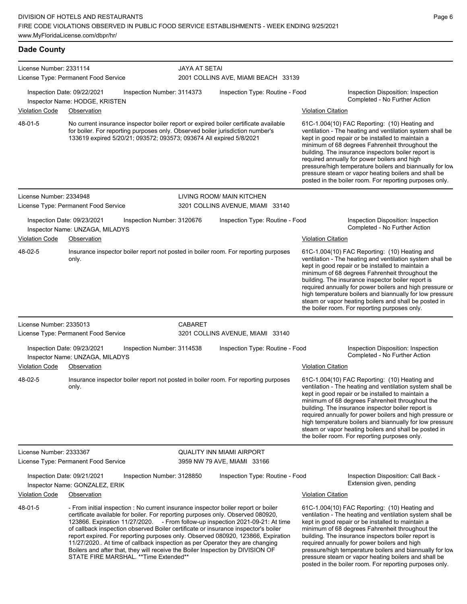**Dade County** License Number: 2331114 License Type: Permanent Food Service JAYA AT SETAI 2001 COLLINS AVE, MIAMI BEACH 33139 Inspection Date: 09/22/2021 Inspection Number: 3114373 Inspection Type: Routine - Food Inspection Disposition: Inspection Inspector Name: HODGE, KRISTEN Violation Code Observation Violation Citation No current insurance inspector boiler report or expired boiler certificate available for boiler. For reporting purposes only. Observed boiler jurisdiction number's 133619 expired 5/20/21; 093572; 093573; 093674 All expired 5/8/2021 61C-1.004(10) FAC Reporting: (10) Heating and ventilation - The heating and ventilation system shall be kept in good repair or be installed to maintain a minimum of 68 degrees Fahrenheit throughout the building. The insurance inspectors boiler report is required annually for power boilers and high pressure/high temperature boilers and biannually for low pressure steam or vapor heating boilers and shall be posted in the boiler room. For reporting purposes only. 48-01-5 License Number: 2334948 License Type: Permanent Food Service LIVING ROOM/ MAIN KITCHEN 3201 COLLINS AVENUE, MIAMI 33140 Inspection Date: 09/23/2021 Inspection Number: 3120676 Inspection Type: Routine - Food Inspection Disposition: Inspection Inspector Name: UNZAGA, MILADYS Violation Code Observation Violation Citation Insurance inspector boiler report not posted in boiler room. For reporting purposes only. 61C-1.004(10) FAC Reporting: (10) Heating and ventilation - The heating and ventilation system shall be kept in good repair or be installed to maintain a minimum of 68 degrees Fahrenheit throughout the building. The insurance inspector boiler report is required annually for power boilers and high pressure or high temperature boilers and biannually for low pressure steam or vapor heating boilers and shall be posted in the boiler room. For reporting purposes only. 48-02-5 License Number: 2335013 License Type: Permanent Food Service CABARET 3201 COLLINS AVENUE, MIAMI 33140 Inspection Date: 09/23/2021 Inspection Number: 3114538 Inspection Type: Routine - Food Inspection Disposition: Inspection Inspector Name: UNZAGA, MILADYS **And Action** Inspector Name: UNZAGA, MILADYS Violation Code Observation Violation Citation Insurance inspector boiler report not posted in boiler room. For reporting purposes only. 61C-1.004(10) FAC Reporting: (10) Heating and ventilation - The heating and ventilation system shall be kept in good repair or be installed to maintain a minimum of 68 degrees Fahrenheit throughout the building. The insurance inspector boiler report is required annually for power boilers and high pressure or high temperature boilers and biannually for low pressure steam or vapor heating boilers and shall be posted in the boiler room. For reporting purposes only. 48-02-5 License Number: 2333367 License Type: Permanent Food Service QUALITY INN MIAMI AIRPORT 3959 NW 79 AVE, MIAMI 33166 Inspection Date: 09/21/2021 Inspection Number: 3128850 Inspection Type: Routine - Food Inspection Disposition: Call Back -Extension given, pending Inspector Name: GONZALEZ, ERIK Violation Code Observation Violation Citation

- From initial inspection : No current insurance inspector boiler report or boiler certificate available for boiler. For reporting purposes only. Observed 080920, 123866. Expiration 11/27/2020. - From follow-up inspection 2021-09-21: At time of callback inspection observed Boiler certificate or insurance inspector's boiler report expired. For reporting purposes only. Observed 080920, 123866, Expiration 11/27/2020.. At time of callback inspection as per Operator they are changing Boilers and after that, they will receive the Boiler Inspection by DIVISION OF STATE FIRE MARSHAL. \*\*Time Extended\*\* 48-01-5

61C-1.004(10) FAC Reporting: (10) Heating and ventilation - The heating and ventilation system shall be kept in good repair or be installed to maintain a minimum of 68 degrees Fahrenheit throughout the building. The insurance inspectors boiler report is required annually for power boilers and high pressure/high temperature boilers and biannually for low pressure steam or vapor heating boilers and shall be posted in the boiler room. For reporting purposes only.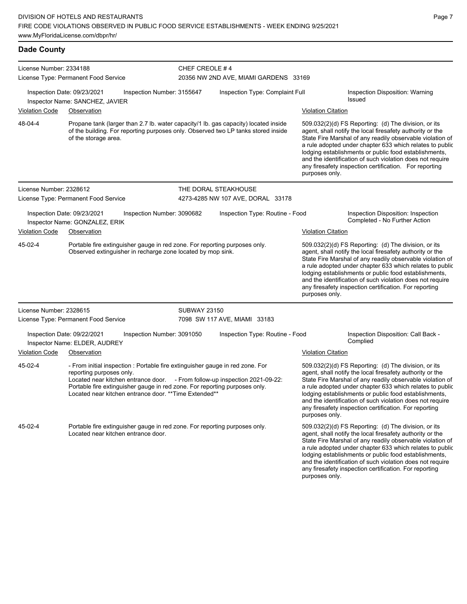**Dade County**

| License Number: 2334188 |                                                                                                                                                                                                                                                                                                                                  |                     | CHEF CREOLE #4<br>20356 NW 2ND AVE, MIAMI GARDENS 33169 |                           |                                                                                                                                                                                                                                                                                                                                                                                                                              |  |  |
|-------------------------|----------------------------------------------------------------------------------------------------------------------------------------------------------------------------------------------------------------------------------------------------------------------------------------------------------------------------------|---------------------|---------------------------------------------------------|---------------------------|------------------------------------------------------------------------------------------------------------------------------------------------------------------------------------------------------------------------------------------------------------------------------------------------------------------------------------------------------------------------------------------------------------------------------|--|--|
|                         | License Type: Permanent Food Service                                                                                                                                                                                                                                                                                             |                     |                                                         |                           |                                                                                                                                                                                                                                                                                                                                                                                                                              |  |  |
|                         | Inspection Date: 09/23/2021<br>Inspection Number: 3155647<br>Inspector Name: SANCHEZ, JAVIER                                                                                                                                                                                                                                     |                     | Inspection Type: Complaint Full                         |                           | Inspection Disposition: Warning<br>Issued                                                                                                                                                                                                                                                                                                                                                                                    |  |  |
| Violation Code          | Observation                                                                                                                                                                                                                                                                                                                      |                     |                                                         | <b>Violation Citation</b> |                                                                                                                                                                                                                                                                                                                                                                                                                              |  |  |
| 48-04-4                 | Propane tank (larger than 2.7 lb. water capacity/1 lb. gas capacity) located inside<br>of the building. For reporting purposes only. Observed two LP tanks stored inside<br>of the storage area.                                                                                                                                 |                     |                                                         | purposes only.            | $509.032(2)(d)$ FS Reporting: (d) The division, or its<br>agent, shall notify the local firesafety authority or the<br>State Fire Marshal of any readily observable violation of<br>a rule adopted under chapter 633 which relates to public<br>lodging establishments or public food establishments,<br>and the identification of such violation does not require<br>any firesafety inspection certification. For reporting |  |  |
| License Number: 2328612 |                                                                                                                                                                                                                                                                                                                                  |                     | THE DORAL STEAKHOUSE                                    |                           |                                                                                                                                                                                                                                                                                                                                                                                                                              |  |  |
|                         | License Type: Permanent Food Service                                                                                                                                                                                                                                                                                             |                     | 4273-4285 NW 107 AVE, DORAL 33178                       |                           |                                                                                                                                                                                                                                                                                                                                                                                                                              |  |  |
|                         | Inspection Date: 09/23/2021<br>Inspection Number: 3090682<br>Inspector Name: GONZALEZ, ERIK                                                                                                                                                                                                                                      |                     | Inspection Type: Routine - Food                         |                           | Inspection Disposition: Inspection<br>Completed - No Further Action                                                                                                                                                                                                                                                                                                                                                          |  |  |
| <b>Violation Code</b>   | Observation                                                                                                                                                                                                                                                                                                                      |                     |                                                         | <b>Violation Citation</b> |                                                                                                                                                                                                                                                                                                                                                                                                                              |  |  |
| 45-02-4                 | Portable fire extinguisher gauge in red zone. For reporting purposes only.<br>Observed extinguisher in recharge zone located by mop sink.                                                                                                                                                                                        |                     |                                                         | purposes only.            | 509.032(2)(d) FS Reporting: (d) The division, or its<br>agent, shall notify the local firesafety authority or the<br>State Fire Marshal of any readily observable violation of<br>a rule adopted under chapter 633 which relates to public<br>lodging establishments or public food establishments,<br>and the identification of such violation does not require<br>any firesafety inspection certification. For reporting   |  |  |
| License Number: 2328615 |                                                                                                                                                                                                                                                                                                                                  | <b>SUBWAY 23150</b> |                                                         |                           |                                                                                                                                                                                                                                                                                                                                                                                                                              |  |  |
|                         | License Type: Permanent Food Service                                                                                                                                                                                                                                                                                             |                     | 7098 SW 117 AVE, MIAMI 33183                            |                           |                                                                                                                                                                                                                                                                                                                                                                                                                              |  |  |
|                         | Inspection Date: 09/22/2021<br>Inspection Number: 3091050<br>Inspector Name: ELDER, AUDREY                                                                                                                                                                                                                                       |                     | Inspection Type: Routine - Food                         |                           | Inspection Disposition: Call Back -<br>Complied                                                                                                                                                                                                                                                                                                                                                                              |  |  |
| Violation Code          | Observation                                                                                                                                                                                                                                                                                                                      |                     |                                                         | <b>Violation Citation</b> |                                                                                                                                                                                                                                                                                                                                                                                                                              |  |  |
| 45-02-4                 | - From initial inspection : Portable fire extinguisher gauge in red zone. For<br>reporting purposes only.<br>Located near kitchen entrance door. - From follow-up inspection 2021-09-22:<br>Portable fire extinguisher gauge in red zone. For reporting purposes only.<br>Located near kitchen entrance door. ** Time Extended** |                     |                                                         | purposes only.            | 509.032(2)(d) FS Reporting: (d) The division, or its<br>agent, shall notify the local firesafety authority or the<br>State Fire Marshal of any readily observable violation of<br>a rule adopted under chapter 633 which relates to public<br>lodging establishments or public food establishments,<br>and the identification of such violation does not require<br>any firesafety inspection certification. For reporting   |  |  |
| 45-02-4                 | Portable fire extinguisher gauge in red zone. For reporting purposes only.<br>Located near kitchen entrance door.                                                                                                                                                                                                                |                     |                                                         |                           | 509.032(2)(d) FS Reporting: (d) The division, or its<br>agent, shall notify the local firesafety authority or the<br>State Fire Marshal of any readily observable violation of<br>a rule adopted under chapter 633 which relates to public<br>lodging establishments or public food establishments,                                                                                                                          |  |  |

and the identification of such violation does not require any firesafety inspection certification. For reporting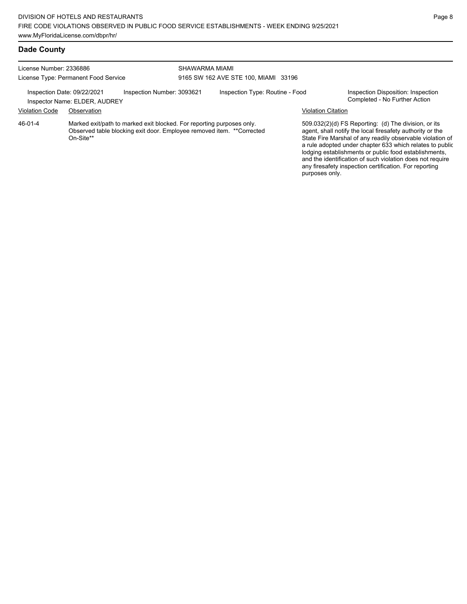## **Dade County**

| License Number: 2336886<br>License Type: Permanent Food Service |                                                                                                                                                              |                            |  | SHAWARMA MIAMI<br>9165 SW 162 AVE STE 100, MIAMI 33196 |                           |                                                                                                                                                                                                                                      |  |  |
|-----------------------------------------------------------------|--------------------------------------------------------------------------------------------------------------------------------------------------------------|----------------------------|--|--------------------------------------------------------|---------------------------|--------------------------------------------------------------------------------------------------------------------------------------------------------------------------------------------------------------------------------------|--|--|
|                                                                 | Inspection Date: 09/22/2021<br>Inspector Name: ELDER, AUDREY                                                                                                 | Inspection Number: 3093621 |  | Inspection Type: Routine - Food                        |                           | Inspection Disposition: Inspection<br>Completed - No Further Action                                                                                                                                                                  |  |  |
| <b>Violation Code</b>                                           | Observation                                                                                                                                                  |                            |  |                                                        | <b>Violation Citation</b> |                                                                                                                                                                                                                                      |  |  |
| 46-01-4                                                         | Marked exit/path to marked exit blocked. For reporting purposes only.<br>Observed table blocking exit door. Employee removed item. ** Corrected<br>On-Site** |                            |  |                                                        |                           | 509.032(2)(d) FS Reporting: (d) The division, or its<br>agent, shall notify the local firesafety authority or the<br>State Fire Marshal of any readily observable violation<br>a rule adopted under chapter 633 which relates to put |  |  |

State Fire Marshal of any readily observable violation of a rule adopted under chapter 633 which relates to public lodging establishments or public food establishments, and the identification of such violation does not require any firesafety inspection certification. For reporting purposes only.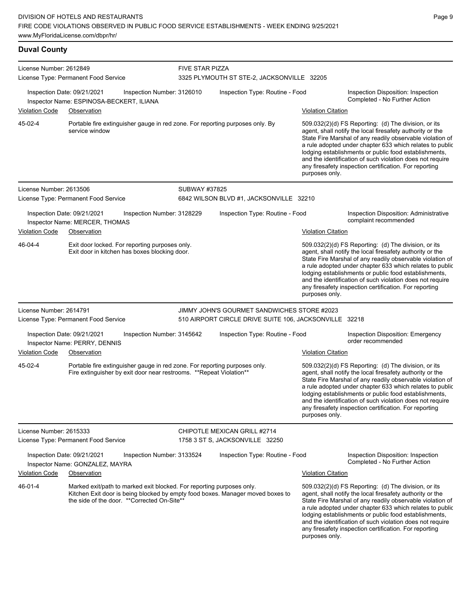**Duval County** License Number: 2612849 License Type: Permanent Food Service FIVE STAR PIZZA 3325 PLYMOUTH ST STE-2, JACKSONVILLE 32205 Inspection Date: 09/21/2021 Inspection Number: 3126010 Inspection Type: Routine - Food Inspection Disposition: Inspection Inspector Name: ESPINOSA-BECKERT, ILIANA Violation Code Observation Violation Citation Portable fire extinguisher gauge in red zone. For reporting purposes only. By service window 509.032(2)(d) FS Reporting: (d) The division, or its agent, shall notify the local firesafety authority or the State Fire Marshal of any readily observable violation of a rule adopted under chapter 633 which relates to public lodging establishments or public food establishments, and the identification of such violation does not require any firesafety inspection certification. For reporting purposes only. 45-02-4 License Number: 2613506 License Type: Permanent Food Service SUBWAY #37825 6842 WILSON BLVD #1, JACKSONVILLE 32210 Inspection Date: 09/21/2021 Inspection Number: 3128229 Inspection Type: Routine - Food Inspection Disposition: Administrative Inspector Name: MERCER, THOMAS **Inspector Name:** MERCER, THOMAS Violation Code Observation Violation Citation Exit door locked. For reporting purposes only. Exit door in kitchen has boxes blocking door. 509.032(2)(d) FS Reporting: (d) The division, or its agent, shall notify the local firesafety authority or the State Fire Marshal of any readily observable violation of a rule adopted under chapter 633 which relates to public lodging establishments or public food establishments, and the identification of such violation does not require any firesafety inspection certification. For reporting purposes only. 46-04-4 License Number: 2614791 License Type: Permanent Food Service JIMMY JOHN'S GOURMET SANDWICHES STORE #2023 510 AIRPORT CIRCLE DRIVE SUITE 106, JACKSONVILLE 32218 Inspection Date: 09/21/2021 Inspection Number: 3145642 Inspection Type: Routine - Food Inspection Disposition: Emergency Inspector Name: PERRY, DENNIS Violation Code Observation Violation Citation Portable fire extinguisher gauge in red zone. For reporting purposes only. Fire extinguisher by exit door near restrooms. \*\*Repeat Violation\*\* 509.032(2)(d) FS Reporting: (d) The division, or its agent, shall notify the local firesafety authority or the State Fire Marshal of any readily observable violation of a rule adopted under chapter 633 which relates to public lodging establishments or public food establishments, and the identification of such violation does not require any firesafety inspection certification. For reporting purposes only. 45-02-4 License Number: 2615333 License Type: Permanent Food Service CHIPOTLE MEXICAN GRILL #2714 1758 3 ST S, JACKSONVILLE 32250 Inspection Date: 09/21/2021 Inspection Number: 3133524 Inspection Type: Routine - Food Inspection Disposition: Inspection Completed - No Further Action Inspector Name: GONZALEZ, MAYRA Violation Code Observation Violation Citation Marked exit/path to marked exit blocked. For reporting purposes only. Kitchen Exit door is being blocked by empty food boxes. Manager moved boxes to the side of the door. \*\*Corrected On-Site\*\* 509.032(2)(d) FS Reporting: (d) The division, or its agent, shall notify the local firesafety authority or the State Fire Marshal of any readily observable violation of a rule adopted under chapter 633 which relates to public lodging establishments or public food establishments, and the identification of such violation does not require 46-01-4

any firesafety inspection certification. For reporting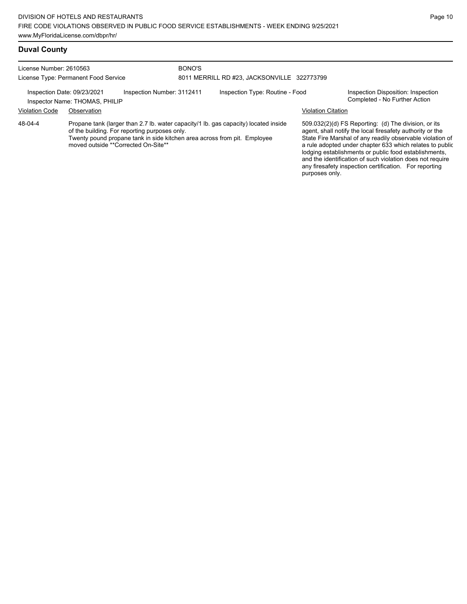| License Number: 2610563 | License Type: Permanent Food Service                          |                                                                                      | BONO'S | 8011 MERRILL RD #23, JACKSONVILLE 322773799                                                                                                                     |                           |                                                                                                                                                                                                                                                                                                                                                                  |
|-------------------------|---------------------------------------------------------------|--------------------------------------------------------------------------------------|--------|-----------------------------------------------------------------------------------------------------------------------------------------------------------------|---------------------------|------------------------------------------------------------------------------------------------------------------------------------------------------------------------------------------------------------------------------------------------------------------------------------------------------------------------------------------------------------------|
|                         | Inspection Date: 09/23/2021<br>Inspector Name: THOMAS, PHILIP | Inspection Number: 3112411                                                           |        | Inspection Type: Routine - Food                                                                                                                                 |                           | Inspection Disposition: Inspection<br>Completed - No Further Action                                                                                                                                                                                                                                                                                              |
| <b>Violation Code</b>   | Observation                                                   |                                                                                      |        |                                                                                                                                                                 | <b>Violation Citation</b> |                                                                                                                                                                                                                                                                                                                                                                  |
| 48-04-4                 |                                                               | of the building. For reporting purposes only.<br>moved outside **Corrected On-Site** |        | Propane tank (larger than 2.7 lb. water capacity/1 lb. gas capacity) located inside<br>Twenty pound propane tank in side kitchen area across from pit. Employee |                           | 509.032(2)(d) FS Reporting: (d) The division, or its<br>agent, shall notify the local firesafety authority or the<br>State Fire Marshal of any readily observable violation of<br>a rule adopted under chapter 633 which relates to public<br>lodging establishments or public food establishments,<br>and the identification of such violation does not require |

any firesafety inspection certification. For reporting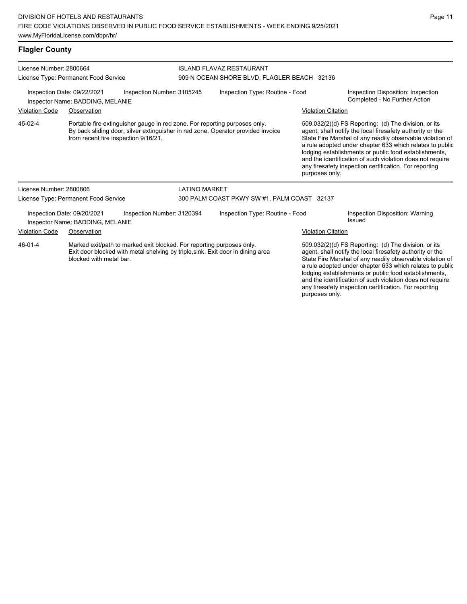**Flagler County**

blocked with metal bar.

License Number: 2800664 License Type: Permanent Food Service ISLAND FLAVAZ RESTAURANT 909 N OCEAN SHORE BLVD, FLAGLER BEACH 32136 Inspection Date: 09/22/2021 Inspection Number: 3105245 Inspection Type: Routine - Food Inspection Disposition: Inspection Inspector Name: BADDING, MELANIE Violation Code Observation Violation Citation Portable fire extinguisher gauge in red zone. For reporting purposes only. By back sliding door, silver extinguisher in red zone. Operator provided invoice from recent fire inspection 9/16/21. 509.032(2)(d) FS Reporting: (d) The division, or its agent, shall notify the local firesafety authority or the State Fire Marshal of any readily observable violation of a rule adopted under chapter 633 which relates to public lodging establishments or public food establishments, and the identification of such violation does not require any firesafety inspection certification. For reporting purposes only. 45-02-4 License Number: 2800806 License Type: Permanent Food Service LATINO MARKET 300 PALM COAST PKWY SW #1, PALM COAST 32137 Inspection Date: 09/20/2021 Inspection Number: 3120394 Inspection Type: Routine - Food Inspection Disposition: Warning Inspector Name: BADDING, MELANIE Violation Code Observation Violation Citation Marked exit/path to marked exit blocked. For reporting purposes only. Exit door blocked with metal shelving by triple,sink. Exit door in dining area 509.032(2)(d) FS Reporting: (d) The division, or its 46-01-4

agent, shall notify the local firesafety authority or the State Fire Marshal of any readily observable violation of a rule adopted under chapter 633 which relates to public lodging establishments or public food establishments, and the identification of such violation does not require any firesafety inspection certification. For reporting purposes only.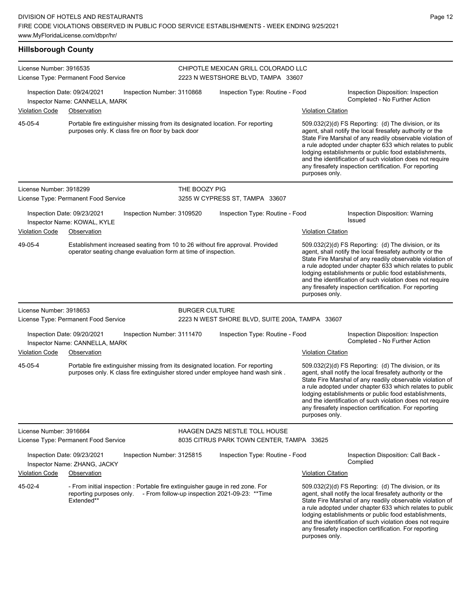**Hillsborough County**

| License Number: 3916535 | License Type: Permanent Food Service                                                                                                                             |                       | CHIPOTLE MEXICAN GRILL COLORADO LLC<br>2223 N WESTSHORE BLVD, TAMPA 33607         |                           |                                                                                                                                                                                                                                                                                                                                                                                                                            |
|-------------------------|------------------------------------------------------------------------------------------------------------------------------------------------------------------|-----------------------|-----------------------------------------------------------------------------------|---------------------------|----------------------------------------------------------------------------------------------------------------------------------------------------------------------------------------------------------------------------------------------------------------------------------------------------------------------------------------------------------------------------------------------------------------------------|
|                         | Inspection Date: 09/24/2021<br>Inspection Number: 3110868<br>Inspector Name: CANNELLA, MARK                                                                      |                       | Inspection Type: Routine - Food                                                   |                           | Inspection Disposition: Inspection<br>Completed - No Further Action                                                                                                                                                                                                                                                                                                                                                        |
| Violation Code          | Observation                                                                                                                                                      |                       |                                                                                   | <b>Violation Citation</b> |                                                                                                                                                                                                                                                                                                                                                                                                                            |
| 45-05-4                 | Portable fire extinguisher missing from its designated location. For reporting<br>purposes only. K class fire on floor by back door                              |                       |                                                                                   | purposes only.            | 509.032(2)(d) FS Reporting: (d) The division, or its<br>agent, shall notify the local firesafety authority or the<br>State Fire Marshal of any readily observable violation of<br>a rule adopted under chapter 633 which relates to public<br>lodging establishments or public food establishments,<br>and the identification of such violation does not require<br>any firesafety inspection certification. For reporting |
| License Number: 3918299 |                                                                                                                                                                  | THE BOOZY PIG         |                                                                                   |                           |                                                                                                                                                                                                                                                                                                                                                                                                                            |
|                         | License Type: Permanent Food Service                                                                                                                             |                       | 3255 W CYPRESS ST, TAMPA 33607                                                    |                           |                                                                                                                                                                                                                                                                                                                                                                                                                            |
|                         | Inspection Date: 09/23/2021<br>Inspection Number: 3109520<br>Inspector Name: KOWAL, KYLE                                                                         |                       | Inspection Type: Routine - Food                                                   |                           | Inspection Disposition: Warning<br><b>Issued</b>                                                                                                                                                                                                                                                                                                                                                                           |
| Violation Code          | Observation                                                                                                                                                      |                       |                                                                                   | <b>Violation Citation</b> |                                                                                                                                                                                                                                                                                                                                                                                                                            |
| 49-05-4                 | Establishment increased seating from 10 to 26 without fire approval. Provided<br>operator seating change evaluation form at time of inspection.                  |                       |                                                                                   | purposes only.            | 509.032(2)(d) FS Reporting: (d) The division, or its<br>agent, shall notify the local firesafety authority or the<br>State Fire Marshal of any readily observable violation of<br>a rule adopted under chapter 633 which relates to public<br>lodging establishments or public food establishments,<br>and the identification of such violation does not require<br>any firesafety inspection certification. For reporting |
| License Number: 3918653 |                                                                                                                                                                  | <b>BURGER CULTURE</b> |                                                                                   |                           |                                                                                                                                                                                                                                                                                                                                                                                                                            |
|                         | License Type: Permanent Food Service                                                                                                                             |                       | 2223 N WEST SHORE BLVD, SUITE 200A, TAMPA 33607                                   |                           |                                                                                                                                                                                                                                                                                                                                                                                                                            |
| <b>Violation Code</b>   | Inspection Date: 09/20/2021<br>Inspection Number: 3111470<br>Inspector Name: CANNELLA, MARK<br>Observation                                                       |                       | Inspection Type: Routine - Food                                                   |                           | Inspection Disposition: Inspection<br>Completed - No Further Action                                                                                                                                                                                                                                                                                                                                                        |
|                         |                                                                                                                                                                  |                       |                                                                                   | <b>Violation Citation</b> |                                                                                                                                                                                                                                                                                                                                                                                                                            |
| 45-05-4                 | Portable fire extinguisher missing from its designated location. For reporting<br>purposes only. K class fire extinguisher stored under employee hand wash sink. |                       |                                                                                   | purposes only.            | 509.032(2)(d) FS Reporting: (d) The division, or its<br>agent, shall notify the local firesafety authority or the<br>State Fire Marshal of any readily observable violation of<br>a rule adopted under chapter 633 which relates to public<br>lodging establishments or public food establishments,<br>and the identification of such violation does not require<br>any firesafety inspection certification. For reporting |
| License Number: 3916664 | License Type: Permanent Food Service                                                                                                                             |                       | <b>HAAGEN DAZS NESTLE TOLL HOUSE</b><br>8035 CITRUS PARK TOWN CENTER, TAMPA 33625 |                           |                                                                                                                                                                                                                                                                                                                                                                                                                            |
|                         | Inspection Date: 09/23/2021<br>Inspection Number: 3125815<br>Inspector Name: ZHANG, JACKY                                                                        |                       | Inspection Type: Routine - Food                                                   |                           | Inspection Disposition: Call Back -<br>Complied                                                                                                                                                                                                                                                                                                                                                                            |
| <b>Violation Code</b>   | <b>Observation</b>                                                                                                                                               |                       |                                                                                   | <b>Violation Citation</b> |                                                                                                                                                                                                                                                                                                                                                                                                                            |
| 45-02-4                 | - From initial inspection : Portable fire extinguisher gauge in red zone. For<br>reporting purposes only.<br>Extended**                                          |                       | - From follow-up inspection 2021-09-23: **Time                                    |                           | $509.032(2)(d)$ FS Reporting: (d) The division, or its<br>agent, shall notify the local firesafety authority or the<br>State Fire Marshal of any readily observable violation of<br>a rule adopted under chapter 633 which relates to public<br>lodging establishments or public food establishments,<br>and the identification of such violation does not require                                                         |

any firesafety inspection certification. For reporting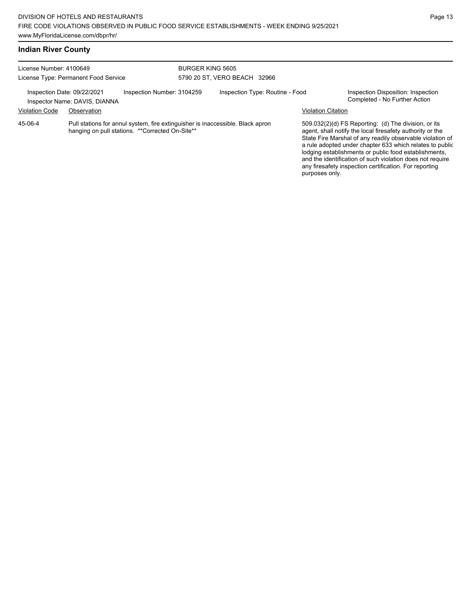| License Number: 4100649<br>License Type: Permanent Food Service |                                                                                                                                    | BURGER KING 5605<br>5790 20 ST, VERO BEACH 32966 |  |                                 |                           |                                                                                                                                                                                                                                                                                                                                                                                                                            |
|-----------------------------------------------------------------|------------------------------------------------------------------------------------------------------------------------------------|--------------------------------------------------|--|---------------------------------|---------------------------|----------------------------------------------------------------------------------------------------------------------------------------------------------------------------------------------------------------------------------------------------------------------------------------------------------------------------------------------------------------------------------------------------------------------------|
|                                                                 | Inspection Date: 09/22/2021<br>Inspector Name: DAVIS, DIANNA                                                                       | Inspection Number: 3104259                       |  | Inspection Type: Routine - Food |                           | Inspection Disposition: Inspection<br>Completed - No Further Action                                                                                                                                                                                                                                                                                                                                                        |
| <b>Violation Code</b>                                           | Observation                                                                                                                        |                                                  |  |                                 | <b>Violation Citation</b> |                                                                                                                                                                                                                                                                                                                                                                                                                            |
| 45-06-4                                                         | Pull stations for annul system, fire extinguisher is inaccessible. Black apron<br>hanging on pull stations. ** Corrected On-Site** |                                                  |  |                                 |                           | 509.032(2)(d) FS Reporting: (d) The division, or its<br>agent, shall notify the local firesafety authority or the<br>State Fire Marshal of any readily observable violation of<br>a rule adopted under chapter 633 which relates to public<br>lodging establishments or public food establishments,<br>and the identification of such violation does not require<br>any firesafety inspection certification. For reporting |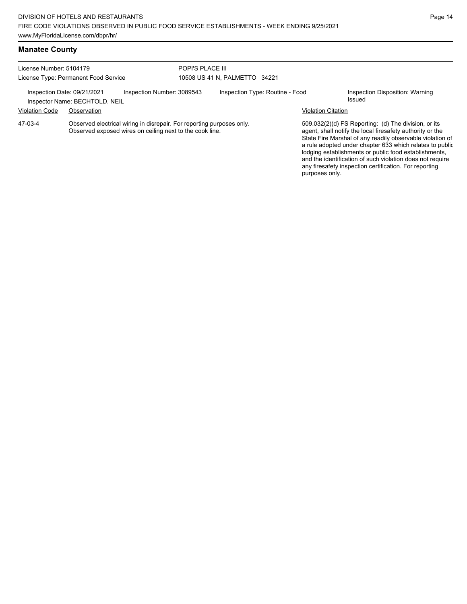| License Number: 5104179                                                                                                                      |                                                               |                            | POPI'S PLACE III              |                                 |                           |                                                                                                                                                                                                                                                                                                     |
|----------------------------------------------------------------------------------------------------------------------------------------------|---------------------------------------------------------------|----------------------------|-------------------------------|---------------------------------|---------------------------|-----------------------------------------------------------------------------------------------------------------------------------------------------------------------------------------------------------------------------------------------------------------------------------------------------|
| License Type: Permanent Food Service                                                                                                         |                                                               |                            | 10508 US 41 N, PALMETTO 34221 |                                 |                           |                                                                                                                                                                                                                                                                                                     |
|                                                                                                                                              | Inspection Date: 09/21/2021<br>Inspector Name: BECHTOLD, NEIL | Inspection Number: 3089543 |                               | Inspection Type: Routine - Food |                           | Inspection Disposition: Warning<br>Issued                                                                                                                                                                                                                                                           |
| <b>Violation Code</b>                                                                                                                        | Observation                                                   |                            |                               |                                 | <b>Violation Citation</b> |                                                                                                                                                                                                                                                                                                     |
| 47-03-4<br>Observed electrical wiring in disrepair. For reporting purposes only.<br>Observed exposed wires on ceiling next to the cook line. |                                                               |                            |                               |                                 |                           | 509.032(2)(d) FS Reporting: (d) The division, or its<br>agent, shall notify the local firesafety authority or the<br>State Fire Marshal of any readily observable violation of<br>a rule adopted under chapter 633 which relates to public<br>lodging establishments or public food establishments, |

and the identification of such violation does not require any firesafety inspection certification. For reporting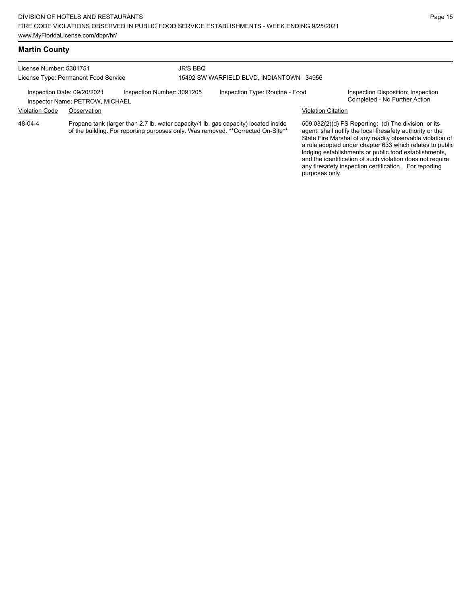License Number: 5301751 License Type: Permanent Food Service JR'S BBQ 15492 SW WARFIELD BLVD, INDIANTOWN 34956

Inspection Date: 09/20/2021 Inspection Number: 3091205 Inspection Type: Routine - Food Inspection Disposition: Inspection<br>Inspector Name: PETROW MICHAFI

Inspector Name: PETROW, MICHAEL Violation Code Observation Violation Citation

Propane tank (larger than 2.7 lb. water capacity/1 lb. gas capacity) located inside of the building. For reporting purposes only. Was removed. \*\*Corrected On-Site\*\* 48-04-4

509.032(2)(d) FS Reporting: (d) The division, or its agent, shall notify the local firesafety authority or the State Fire Marshal of any readily observable violation of a rule adopted under chapter 633 which relates to public lodging establishments or public food establishments, and the identification of such violation does not require any firesafety inspection certification. For reporting purposes only.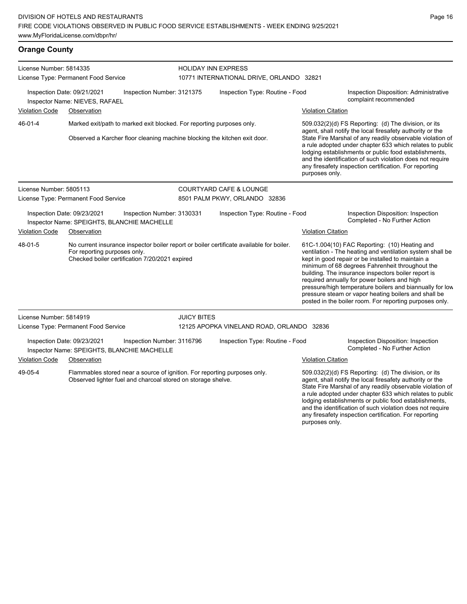**Orange County**

License Number: 5814335 License Type: Permanent Food Service HOLIDAY INN EXPRESS 10771 INTERNATIONAL DRIVE, ORLANDO 32821 Inspection Date: 09/21/2021 Inspection Number: 3121375 Inspection Type: Routine - Food Inspection Disposition: Administrative complaint recommended Inspector Name: NIEVES, RAFAEL Violation Code Observation Violation Citation Marked exit/path to marked exit blocked. For reporting purposes only. Observed a Karcher floor cleaning machine blocking the kitchen exit door. 509.032(2)(d) FS Reporting: (d) The division, or its agent, shall notify the local firesafety authority or the State Fire Marshal of any readily observable violation of a rule adopted under chapter 633 which relates to public lodging establishments or public food establishments, and the identification of such violation does not require any firesafety inspection certification. For reporting purposes only. 46-01-4 License Number: 5805113 License Type: Permanent Food Service COURTYARD CAFE & LOUNGE 8501 PALM PKWY, ORLANDO 32836 Inspection Date: 09/23/2021 Inspection Number: 3130331 Inspection Type: Routine - Food Inspection Disposition: Inspection Inspector Name: SPEIGHTS, BLANCHIE MACHELLE<br> **Inspector Name: SPEIGHTS, BLANCHIE MACHELLE** Violation Code Observation Violation Citation No current insurance inspector boiler report or boiler certificate available for boiler. For reporting purposes only. Checked boiler certification 7/20/2021 expired 61C-1.004(10) FAC Reporting: (10) Heating and ventilation - The heating and ventilation system shall be kept in good repair or be installed to maintain a minimum of 68 degrees Fahrenheit throughout the building. The insurance inspectors boiler report is required annually for power boilers and high pressure/high temperature boilers and biannually for low pressure steam or vapor heating boilers and shall be posted in the boiler room. For reporting purposes only. 48-01-5 License Number: 5814919 License Type: Permanent Food Service JUICY BITES 12125 APOPKA VINELAND ROAD, ORLANDO 32836 Inspection Date: 09/23/2021 Inspection Number: 3116796 Inspection Type: Routine - Food Inspection Disposition: Inspection<br>Inspector Name: SPEIGHTS, BLANCHELLE MACHELLE Inspector Name: SPEIGHTS, BLANCHIE MACHELLE Violation Code Observation Violation Citation Flammables stored near a source of ignition. For reporting purposes only. Observed lighter fuel and charcoal stored on storage shelve. 509.032(2)(d) FS Reporting: (d) The division, or its agent, shall notify the local firesafety authority or the State Fire Marshal of any readily observable violation of 49-05-4

Page 16

a rule adopted under chapter 633 which relates to public lodging establishments or public food establishments, and the identification of such violation does not require any firesafety inspection certification. For reporting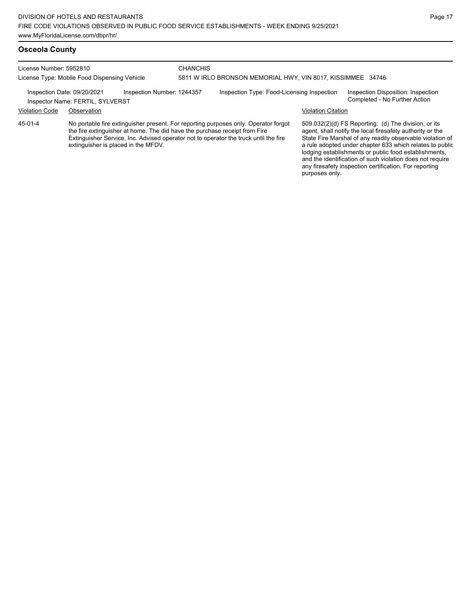| License Number: 5952810<br>License Type: Mobile Food Dispensing Vehicle |                                  |                            | CHANCHIS. | 5811 W IRLO BRONSON MEMORIAL HWY, VIN 8017, KISSIMMEE 34746 |                           |                                                                     |
|-------------------------------------------------------------------------|----------------------------------|----------------------------|-----------|-------------------------------------------------------------|---------------------------|---------------------------------------------------------------------|
| Inspection Date: 09/20/2021                                             | Inspector Name: FERTIL, SYLVERST | Inspection Number: 1244357 |           | Inspection Type: Food-Licensing Inspection                  |                           | Inspection Disposition: Inspection<br>Completed - No Further Action |
| <b>Violation Code</b>                                                   | Observation                      |                            |           |                                                             | <b>Violation Citation</b> |                                                                     |

No portable fire extinguisher present. For reporting purposes only. Operator forgot the fire extinguisher at home. The did have the purchase receipt from Fire Extinguisher Service, Inc. Advised operator not to operator the truck until the fire extinguisher is placed in the MFDV. 45-01-4

509.032(2)(d) FS Reporting: (d) The division, or its agent, shall notify the local firesafety authority or the State Fire Marshal of any readily observable violation of a rule adopted under chapter 633 which relates to public lodging establishments or public food establishments, and the identification of such violation does not require any firesafety inspection certification. For reporting purposes only.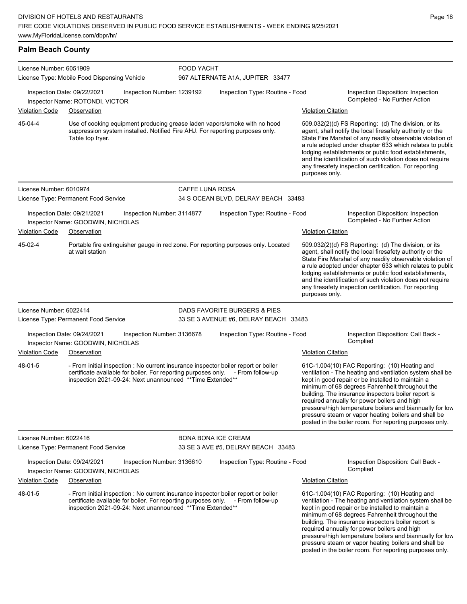**Palm Beach County** License Number: 6051909 License Type: Mobile Food Dispensing Vehicle FOOD YACHT 967 ALTERNATE A1A, JUPITER 33477 Inspection Date: 09/22/2021 Inspection Number: 1239192 Inspection Type: Routine - Food Inspection Disposition: Inspection Completed - No Further Action Inspector Name: ROTONDI, VICTOR Violation Code Observation Violation Citation Use of cooking equipment producing grease laden vapors/smoke with no hood suppression system installed. Notified Fire AHJ. For reporting purposes only. Table top fryer. 509.032(2)(d) FS Reporting: (d) The division, or its agent, shall notify the local firesafety authority or the State Fire Marshal of any readily observable violation of a rule adopted under chapter 633 which relates to public lodging establishments or public food establishments, and the identification of such violation does not require any firesafety inspection certification. For reporting purposes only. 45-04-4 License Number: 6010974 License Type: Permanent Food Service CAFFE LUNA ROSA 34 S OCEAN BLVD, DELRAY BEACH 33483 Inspection Date: 09/21/2021 Inspection Number: 3114877 Inspection Type: Routine - Food Inspection Disposition: Inspection Inspector Name: GOODWIN, NICHOLAS **Completed - No Further Action** Violation Code Observation Violation Citation Portable fire extinguisher gauge in red zone. For reporting purposes only. Located at wait station 509.032(2)(d) FS Reporting: (d) The division, or its agent, shall notify the local firesafety authority or the State Fire Marshal of any readily observable violation of a rule adopted under chapter 633 which relates to public lodging establishments or public food establishments, and the identification of such violation does not require any firesafety inspection certification. For reporting purposes only. 45-02-4 License Number: 6022414 License Type: Permanent Food Service DADS FAVORITE BURGERS & PIES 33 SE 3 AVENUE #6, DELRAY BEACH 33483 Inspection Date: 09/24/2021 Inspection Number: 3136678 Inspection Type: Routine - Food Inspection Disposition: Call Back - Inspector Name: GOODWIN, NICHOLAS Violation Code Observation Violation Citation - From initial inspection : No current insurance inspector boiler report or boiler certificate available for boiler. For reporting purposes only. - From follow-up inspection 2021-09-24: Next unannounced \*\*Time Extended\*\* 61C-1.004(10) FAC Reporting: (10) Heating and ventilation - The heating and ventilation system shall be kept in good repair or be installed to maintain a minimum of 68 degrees Fahrenheit throughout the building. The insurance inspectors boiler report is required annually for power boilers and high pressure/high temperature boilers and biannually for low pressure steam or vapor heating boilers and shall be posted in the boiler room. For reporting purposes only. 48-01-5 License Number: 6022416 License Type: Permanent Food Service BONA BONA ICE CREAM 33 SE 3 AVE #5, DELRAY BEACH 33483 Inspection Date: 09/24/2021 Inspection Number: 3136610 Inspection Type: Routine - Food Inspection Disposition: Call Back - Complied Inspector Name: GOODWIN, NICHOLAS Violation Code Observation **Violation Citation** Violation Citation Citation - From initial inspection : No current insurance inspector boiler report or boiler certificate available for boiler. For reporting purposes only. - From follow-up inspection 2021-09-24: Next unannounced \*\*Time Extended\*\* 61C-1.004(10) FAC Reporting: (10) Heating and ventilation - The heating and ventilation system shall be kept in good repair or be installed to maintain a minimum of 68 degrees Fahrenheit throughout the building. The insurance inspectors boiler report is required annually for power boilers and high 48-01-5

Page 18

pressure/high temperature boilers and biannually for low pressure steam or vapor heating boilers and shall be posted in the boiler room. For reporting purposes only.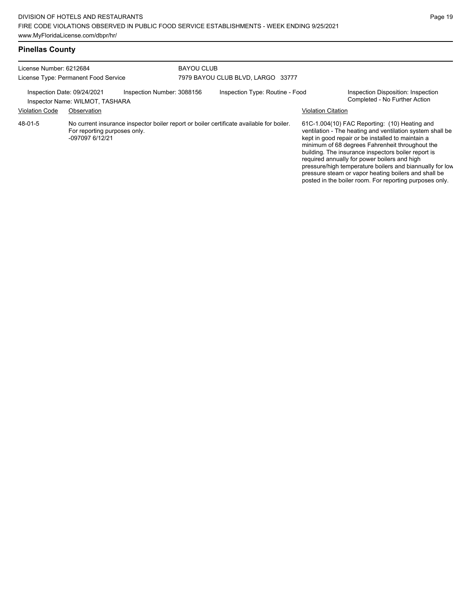| License Number: 6212684<br>License Type: Permanent Food Service |                                                 |                            | <b>BAYOU CLUB</b><br>7979 BAYOU CLUB BLVD, LARGO 33777 |                                                                                          |                           |                                                                                                                                                                                                                                                                                                                                                                                                                                               |  |
|-----------------------------------------------------------------|-------------------------------------------------|----------------------------|--------------------------------------------------------|------------------------------------------------------------------------------------------|---------------------------|-----------------------------------------------------------------------------------------------------------------------------------------------------------------------------------------------------------------------------------------------------------------------------------------------------------------------------------------------------------------------------------------------------------------------------------------------|--|
| Inspection Date: 09/24/2021                                     | Inspector Name: WILMOT, TASHARA                 | Inspection Number: 3088156 |                                                        | Inspection Type: Routine - Food                                                          |                           | Inspection Disposition: Inspection<br>Completed - No Further Action                                                                                                                                                                                                                                                                                                                                                                           |  |
| <b>Violation Code</b>                                           | Observation                                     |                            |                                                        |                                                                                          | <b>Violation Citation</b> |                                                                                                                                                                                                                                                                                                                                                                                                                                               |  |
| 48-01-5                                                         | For reporting purposes only.<br>-097097 6/12/21 |                            |                                                        | No current insurance inspector boiler report or boiler certificate available for boiler. |                           | 61C-1.004(10) FAC Reporting: (10) Heating and<br>ventilation - The heating and ventilation system shall be<br>kept in good repair or be installed to maintain a<br>minimum of 68 degrees Fahrenheit throughout the<br>building. The insurance inspectors boiler report is<br>required annually for power boilers and high<br>pressure/high temperature boilers and biannually for low<br>pressure steam or vapor heating boilers and shall be |  |

posted in the boiler room. For reporting purposes only.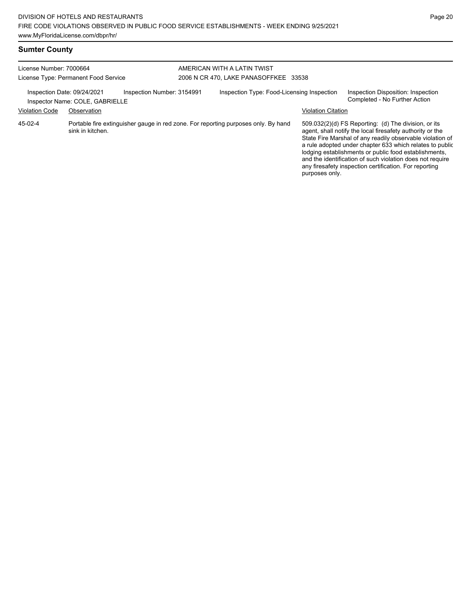| License Number: 7000664<br>License Type: Permanent Food Service |                                                                |                            | AMERICAN WITH A LATIN TWIST<br>2006 N CR 470, LAKE PANASOFFKEE 33538 |                                                                                    |                           |                                                                                                                                                                                                                                                                                                                                                                  |  |  |
|-----------------------------------------------------------------|----------------------------------------------------------------|----------------------------|----------------------------------------------------------------------|------------------------------------------------------------------------------------|---------------------------|------------------------------------------------------------------------------------------------------------------------------------------------------------------------------------------------------------------------------------------------------------------------------------------------------------------------------------------------------------------|--|--|
|                                                                 | Inspection Date: 09/24/2021<br>Inspector Name: COLE, GABRIELLE | Inspection Number: 3154991 |                                                                      | Inspection Type: Food-Licensing Inspection                                         |                           | Inspection Disposition: Inspection<br>Completed - No Further Action                                                                                                                                                                                                                                                                                              |  |  |
| <b>Violation Code</b>                                           | Observation                                                    |                            |                                                                      |                                                                                    | <b>Violation Citation</b> |                                                                                                                                                                                                                                                                                                                                                                  |  |  |
| 45-02-4                                                         | sink in kitchen.                                               |                            |                                                                      | Portable fire extinguisher gauge in red zone. For reporting purposes only. By hand |                           | 509.032(2)(d) FS Reporting: (d) The division, or its<br>agent, shall notify the local firesafety authority or the<br>State Fire Marshal of any readily observable violation of<br>a rule adopted under chapter 633 which relates to public<br>lodging establishments or public food establishments,<br>and the identification of such violation does not require |  |  |

any firesafety inspection certification. For reporting